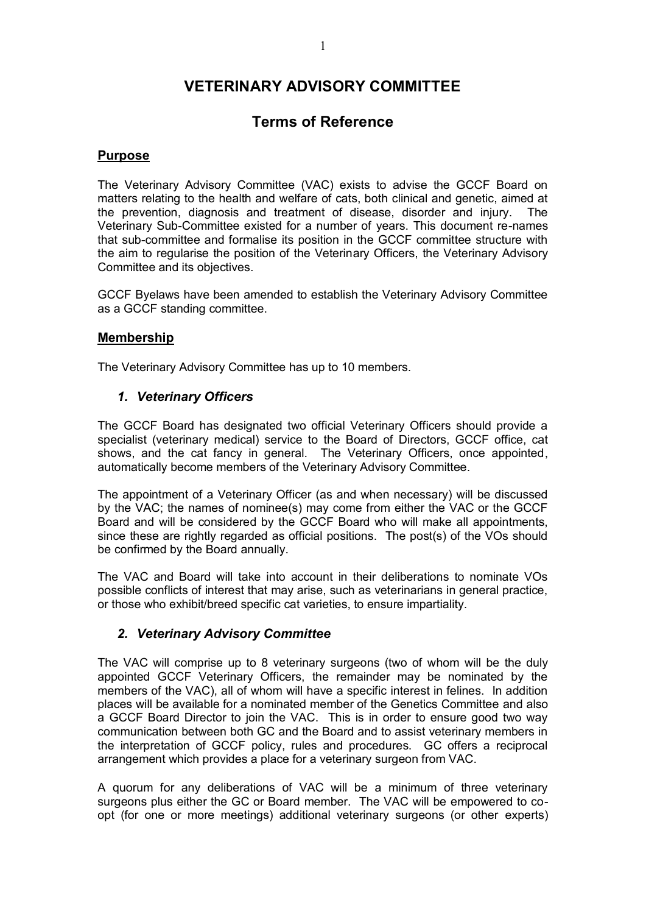# **VETERINARY ADVISORY COMMITTEE**

## **Terms of Reference**

## **Purpose**

The Veterinary Advisory Committee (VAC) exists to advise the GCCF Board on matters relating to the health and welfare of cats, both clinical and genetic, aimed at the prevention, diagnosis and treatment of disease, disorder and injury. The Veterinary Sub-Committee existed for a number of years. This document re-names that sub-committee and formalise its position in the GCCF committee structure with the aim to regularise the position of the Veterinary Officers, the Veterinary Advisory Committee and its objectives.

GCCF Byelaws have been amended to establish the Veterinary Advisory Committee as a GCCF standing committee.

### **Membership**

The Veterinary Advisory Committee has up to 10 members.

## *1. Veterinary Officers*

The GCCF Board has designated two official Veterinary Officers should provide a specialist (veterinary medical) service to the Board of Directors, GCCF office, cat shows, and the cat fancy in general. The Veterinary Officers, once appointed, automatically become members of the Veterinary Advisory Committee.

The appointment of a Veterinary Officer (as and when necessary) will be discussed by the VAC; the names of nominee(s) may come from either the VAC or the GCCF Board and will be considered by the GCCF Board who will make all appointments, since these are rightly regarded as official positions. The post(s) of the VOs should be confirmed by the Board annually.

The VAC and Board will take into account in their deliberations to nominate VOs possible conflicts of interest that may arise, such as veterinarians in general practice, or those who exhibit/breed specific cat varieties, to ensure impartiality.

#### *2. Veterinary Advisory Committee*

The VAC will comprise up to 8 veterinary surgeons (two of whom will be the duly appointed GCCF Veterinary Officers, the remainder may be nominated by the members of the VAC), all of whom will have a specific interest in felines. In addition places will be available for a nominated member of the Genetics Committee and also a GCCF Board Director to join the VAC. This is in order to ensure good two way communication between both GC and the Board and to assist veterinary members in the interpretation of GCCF policy, rules and procedures. GC offers a reciprocal arrangement which provides a place for a veterinary surgeon from VAC.

A quorum for any deliberations of VAC will be a minimum of three veterinary surgeons plus either the GC or Board member. The VAC will be empowered to coopt (for one or more meetings) additional veterinary surgeons (or other experts)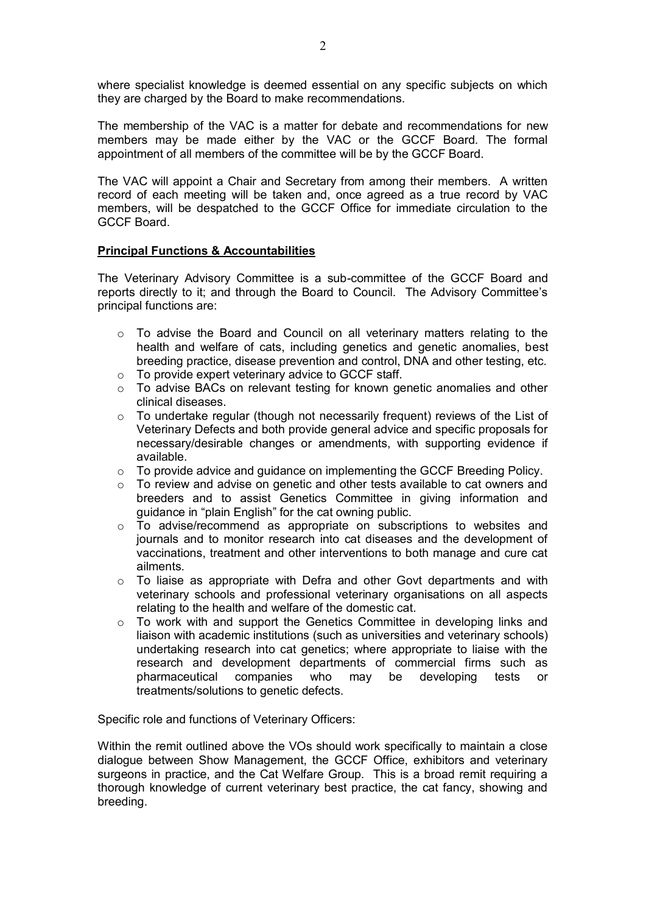where specialist knowledge is deemed essential on any specific subjects on which they are charged by the Board to make recommendations.

The membership of the VAC is a matter for debate and recommendations for new members may be made either by the VAC or the GCCF Board. The formal appointment of all members of the committee will be by the GCCF Board.

The VAC will appoint a Chair and Secretary from among their members. A written record of each meeting will be taken and, once agreed as a true record by VAC members, will be despatched to the GCCF Office for immediate circulation to the GCCF Board.

#### **Principal Functions & Accountabilities**

The Veterinary Advisory Committee is a sub-committee of the GCCF Board and reports directly to it; and through the Board to Council. The Advisory Committee's principal functions are:

- o To advise the Board and Council on all veterinary matters relating to the health and welfare of cats, including genetics and genetic anomalies, best breeding practice, disease prevention and control, DNA and other testing, etc.
- o To provide expert veterinary advice to GCCF staff.
- o To advise BACs on relevant testing for known genetic anomalies and other clinical diseases.
- $\circ$  To undertake regular (though not necessarily frequent) reviews of the List of Veterinary Defects and both provide general advice and specific proposals for necessary/desirable changes or amendments, with supporting evidence if available.
- $\circ$  To provide advice and quidance on implementing the GCCF Breeding Policy.
- o To review and advise on genetic and other tests available to cat owners and breeders and to assist Genetics Committee in giving information and guidance in "plain English" for the cat owning public.
- $\circ$  To advise/recommend as appropriate on subscriptions to websites and journals and to monitor research into cat diseases and the development of vaccinations, treatment and other interventions to both manage and cure cat ailments.
- $\circ$  To liaise as appropriate with Defra and other Govt departments and with veterinary schools and professional veterinary organisations on all aspects relating to the health and welfare of the domestic cat.
- $\circ$  To work with and support the Genetics Committee in developing links and liaison with academic institutions (such as universities and veterinary schools) undertaking research into cat genetics; where appropriate to liaise with the research and development departments of commercial firms such as pharmaceutical companies who may be developing tests or treatments/solutions to genetic defects.

Specific role and functions of Veterinary Officers:

Within the remit outlined above the VOs should work specifically to maintain a close dialogue between Show Management, the GCCF Office, exhibitors and veterinary surgeons in practice, and the Cat Welfare Group. This is a broad remit requiring a thorough knowledge of current veterinary best practice, the cat fancy, showing and breeding.